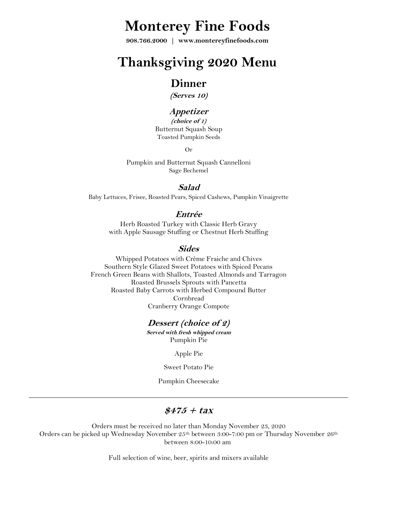# **Monterey Fine Foods**

**908.766.2000 | www.montereyfinefoods.com**

# **Thanksgiving 2020 Menu**

### **Dinner**

**(Serves 10)**

### **Appetizer**

**(choice of 1)** Butternut Squash Soup Toasted Pumpkin Seeds

Or

Pumpkin and Butternut Squash Cannelloni Sage Bechemel

#### **Salad**

Baby Lettuces, Frisee, Roasted Pears, Spiced Cashews, Pumpkin Vinaigrette

#### **Entrée**

Herb Roasted Turkey with Classic Herb Gravy with Apple Sausage Stuffing or Chestnut Herb Stuffing

#### **Sides**

Whipped Potatoes with Crème Fraiche and Chives Southern Style Glazed Sweet Potatoes with Spiced Pecans French Green Beans with Shallots, Toasted Almonds and Tarragon Roasted Brussels Sprouts with Pancetta Roasted Baby Carrots with Herbed Compound Butter Cornbread Cranberry Orange Compote

#### **Dessert (choice of 2)**

**Served with fresh whipped cream** Pumpkin Pie

Apple Pie

Sweet Potato Pie

Pumpkin Cheesecake

\_\_\_\_\_\_\_\_\_\_\_\_\_\_\_\_\_\_\_\_\_\_\_\_\_\_\_\_\_\_\_\_\_\_\_\_\_\_\_\_\_\_\_\_\_\_\_\_\_\_\_\_\_\_\_\_\_\_\_\_\_\_\_\_\_\_\_\_\_\_\_\_\_\_\_\_\_\_\_\_\_\_\_\_\_\_\_\_\_\_

#### **\$475 + tax**

Orders must be received no later than Monday November 23, 2020 Orders can be picked up Wednesday November 25<sup>th</sup> between 3:00-7:00 pm or Thursday November 26<sup>th</sup> between 8:00-10:00 am

Full selection of wine, beer, spirits and mixers available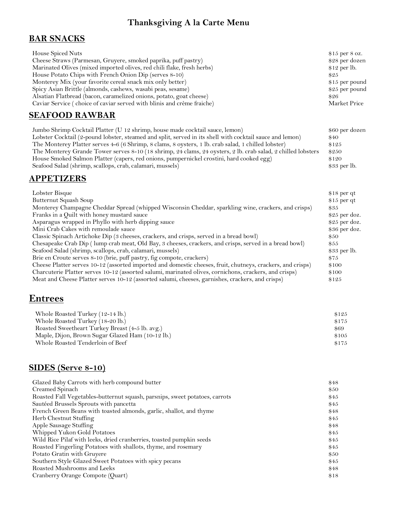## **Thanksgiving A la Carte Menu**

### **BAR SNACKS**

| House Spiced Nuts                                                             | $$15$ per 8 oz. |
|-------------------------------------------------------------------------------|-----------------|
| Cheese Straws (Parmesan, Gruyere, smoked paprika, puff pastry)                | \$28 per dozen  |
| Marinated Olives (mixed imported olives, red chili flake, fresh herbs)        | $$12$ per lb.   |
| House Potato Chips with French Onion Dip (serves 8-10)                        | \$25            |
| Monterey Mix (your favorite cereal snack mix only better)                     | $$15$ per pound |
| Spicy Asian Brittle (almonds, cashews, wasabi peas, sesame)                   | $$25$ per pound |
| Alsatian Flatbread (bacon, caramelized onions, potato, goat cheese)           | \$26            |
| Caviar Service (choice of caviar served with blinis and crème fraiche)        | Market Price    |
| <b>SEAFOOD RAWBAR</b>                                                         |                 |
| Jumbo Shrimp Cocktail Platter (U 12 shrimp, house made cocktail sauce, lemon) | \$60 per dozen  |

| vanios vin mip voortan 1 notes   v 12 sin mip, notes maar voortan saavoj remen                               | $\psi \circ \psi$ per abberr |
|--------------------------------------------------------------------------------------------------------------|------------------------------|
| Lobster Cocktail (2-pound lobster, steamed and split, served in its shell with cocktail sauce and lemon)     | \$40                         |
| The Monterey Platter serves 4–6 (6 Shrimp, 8 clams, 8 oysters, 1 lb. crab salad, 1 chilled lobster)          | \$125                        |
| The Monterey Grande Tower serves 8-10 (18 shrimp, 24 clams, 24 oysters, 2 lb. crab salad, 2 chilled lobsters | \$250                        |
| House Smoked Salmon Platter (capers, red onions, pumpernickel crostini, hard cooked egg)                     | \$120                        |
| Seafood Salad (shrimp, scallops, crab, calamari, mussels)                                                    | $$33$ per lb.                |

### **APPETIZERS**

| Lobster Bisque                                                                                              | $$18$ per qt   |
|-------------------------------------------------------------------------------------------------------------|----------------|
| Butternut Squash Soup                                                                                       | $$15$ per qt   |
| Monterey Champagne Cheddar Spread (whipped Wisconsin Cheddar, sparkling wine, crackers, and crisps)         | \$35           |
| Franks in a Quilt with honey mustard sauce                                                                  | $$25$ per doz. |
| Asparagus wrapped in Phyllo with herb dipping sauce                                                         | $$25$ per doz. |
| Mini Crab Cakes with remoulade sauce                                                                        | \$36 per doz.  |
| Classic Spinach Artichoke Dip (3 cheeses, crackers, and crisps, served in a bread bowl)                     | \$50           |
| Chesapeake Crab Dip (lump crab meat, Old Bay, 3 cheeses, crackers, and crisps, served in a bread bowl)      | \$55           |
| Seafood Salad (shrimp, scallops, crab, calamari, mussels)                                                   | $$33$ per lb.  |
| Brie en Croute serves 8-10 (brie, puff pastry, fig compote, crackers)                                       | \$75           |
| Cheese Platter serves 10-12 (assorted imported and domestic cheeses, fruit, chutneys, crackers, and crisps) | \$100          |
| Charcuterie Platter serves 10-12 (assorted salumi, marinated olives, cornichons, crackers, and crisps)      | \$100          |
| Meat and Cheese Platter serves 10-12 (assorted salumi, cheeses, garnishes, crackers, and crisps)            | \$125          |

# **Entrees**

| Whole Roasted Turkey (12-14 lb.)                 | \$125 |
|--------------------------------------------------|-------|
| Whole Roasted Turkey (18-20 lb.)                 | \$175 |
| Roasted Sweetheart Turkey Breast (4-5 lb. avg.)  | \$69  |
| Maple, Dijon, Brown Sugar Glazed Ham (10-12 lb.) | \$105 |
| Whole Roasted Tenderloin of Beef                 | \$175 |

## **SIDES (Serve 8-10)**

| Glazed Baby Carrots with herb compound butter                               | \$48 |
|-----------------------------------------------------------------------------|------|
| Creamed Spinach                                                             | \$50 |
| Roasted Fall Vegetables-butternut squash, parsnips, sweet potatoes, carrots | \$45 |
| Sautéed Brussels Sprouts with pancetta                                      | \$45 |
| French Green Beans with toasted almonds, garlic, shallot, and thyme         | \$48 |
| Herb Chestnut Stuffing                                                      | \$45 |
| Apple Sausage Stuffing                                                      | \$48 |
| Whipped Yukon Gold Potatoes                                                 | \$45 |
| Wild Rice Pilaf with leeks, dried cranberries, toasted pumpkin seeds        | \$45 |
| Roasted Fingerling Potatoes with shallots, thyme, and rosemary              | \$45 |
| Potato Gratin with Gruyere                                                  | \$50 |
| Southern Style Glazed Sweet Potatoes with spicy pecans                      | \$45 |
| Roasted Mushrooms and Leeks                                                 | \$48 |
| Cranberry Orange Compote (Quart)                                            | \$18 |